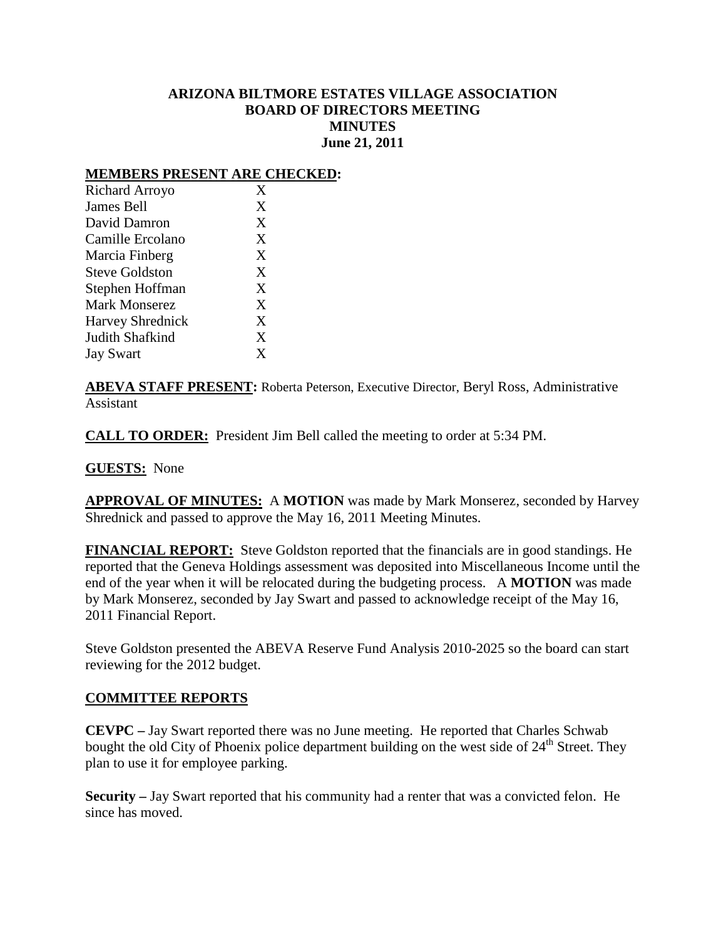### **ARIZONA BILTMORE ESTATES VILLAGE ASSOCIATION BOARD OF DIRECTORS MEETING MINUTES June 21, 2011**

#### **MEMBERS PRESENT ARE CHECKED:**

| Richard Arroyo          | X |
|-------------------------|---|
| James Bell              | X |
| David Damron            | X |
| Camille Ercolano        | X |
| Marcia Finberg          | X |
| <b>Steve Goldston</b>   | X |
| Stephen Hoffman         | X |
| <b>Mark Monserez</b>    | X |
| <b>Harvey Shrednick</b> | X |
| Judith Shafkind         | X |
| <b>Jay Swart</b>        | X |

**ABEVA STAFF PRESENT:** Roberta Peterson, Executive Director, Beryl Ross, Administrative Assistant

**CALL TO ORDER:** President Jim Bell called the meeting to order at 5:34 PM.

**GUESTS:** None

**APPROVAL OF MINUTES:** A **MOTION** was made by Mark Monserez, seconded by Harvey Shrednick and passed to approve the May 16, 2011 Meeting Minutes.

**FINANCIAL REPORT:** Steve Goldston reported that the financials are in good standings. He reported that the Geneva Holdings assessment was deposited into Miscellaneous Income until the end of the year when it will be relocated during the budgeting process. A **MOTION** was made by Mark Monserez, seconded by Jay Swart and passed to acknowledge receipt of the May 16, 2011 Financial Report.

Steve Goldston presented the ABEVA Reserve Fund Analysis 2010-2025 so the board can start reviewing for the 2012 budget.

### **COMMITTEE REPORTS**

**CEVPC –** Jay Swart reported there was no June meeting. He reported that Charles Schwab bought the old City of Phoenix police department building on the west side of  $24<sup>th</sup>$  Street. They plan to use it for employee parking.

**Security –** Jay Swart reported that his community had a renter that was a convicted felon. He since has moved.